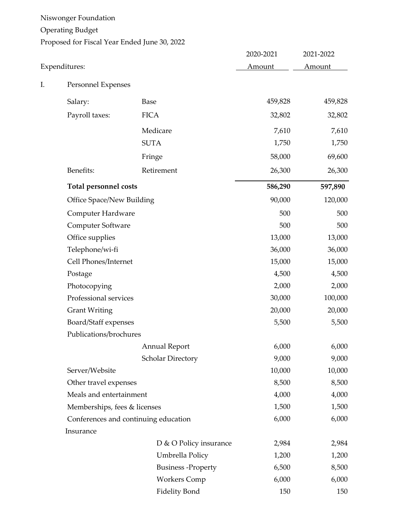Niswonger Foundation Operating Budget Proposed for Fiscal Year Ended June 30, 2022

|    |                                      |                          | 2020-2021     | 2021-2022 |
|----|--------------------------------------|--------------------------|---------------|-----------|
|    | Expenditures:                        | Amount                   | <b>Amount</b> |           |
| I. | Personnel Expenses                   |                          |               |           |
|    | Salary:                              | Base                     | 459,828       | 459,828   |
|    | Payroll taxes:                       | <b>FICA</b>              | 32,802        | 32,802    |
|    |                                      | Medicare                 | 7,610         | 7,610     |
|    |                                      | <b>SUTA</b>              | 1,750         | 1,750     |
|    |                                      | Fringe                   | 58,000        | 69,600    |
|    | Benefits:                            | Retirement               | 26,300        | 26,300    |
|    | <b>Total personnel costs</b>         |                          | 586,290       | 597,890   |
|    | <b>Office Space/New Building</b>     |                          | 90,000        | 120,000   |
|    | Computer Hardware                    |                          | 500           | 500       |
|    | Computer Software                    |                          | 500           | 500       |
|    | Office supplies                      |                          | 13,000        | 13,000    |
|    | Telephone/wi-fi                      |                          | 36,000        | 36,000    |
|    | Cell Phones/Internet                 |                          | 15,000        | 15,000    |
|    | Postage                              |                          | 4,500         | 4,500     |
|    | Photocopying                         |                          | 2,000         | 2,000     |
|    | Professional services                |                          | 30,000        | 100,000   |
|    | <b>Grant Writing</b>                 |                          | 20,000        | 20,000    |
|    | Board/Staff expenses                 |                          | 5,500         | 5,500     |
|    | Publications/brochures               |                          |               |           |
|    |                                      | <b>Annual Report</b>     | 6,000         | 6,000     |
|    |                                      | <b>Scholar Directory</b> | 9,000         | 9,000     |
|    | Server/Website                       |                          | 10,000        | 10,000    |
|    | Other travel expenses                |                          | 8,500         | 8,500     |
|    | Meals and entertainment              |                          | 4,000         | 4,000     |
|    | Memberships, fees & licenses         |                          | 1,500         | 1,500     |
|    | Conferences and continuing education |                          | 6,000         | 6,000     |
|    | Insurance                            |                          |               |           |
|    |                                      | D & O Policy insurance   | 2,984         | 2,984     |
|    |                                      | Umbrella Policy          | 1,200         | 1,200     |
|    |                                      | <b>Business-Property</b> | 6,500         | 8,500     |
|    |                                      | <b>Workers Comp</b>      | 6,000         | 6,000     |
|    |                                      | <b>Fidelity Bond</b>     | 150           | 150       |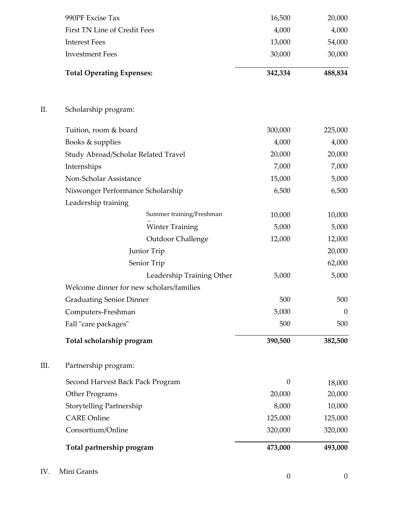| IV.  | Mini Grants                              | $\boldsymbol{0}$ | $\boldsymbol{0}$ |
|------|------------------------------------------|------------------|------------------|
|      | Total partnership program                | 473,000          | 493,000          |
|      | Consortium/Online                        | 320,000          | 320,000          |
|      | <b>CARE Online</b>                       | 125,000          | 125,000          |
|      | Storytelling Partnership                 | 8,000            | 10,000           |
|      | Other Programs                           | 20,000           | 20,000           |
|      | Second Harvest Back Pack Program         | $\boldsymbol{0}$ | 18,000           |
| III. | Partnership program:                     |                  |                  |
|      | Total scholarship program                | 390,500          | 382,500          |
|      | Fall "care packages"                     | 500              | 500              |
|      | Computers-Freshman                       | 5,000            | $\boldsymbol{0}$ |
|      | <b>Graduating Senior Dinner</b>          | 500              | 500              |
|      | Welcome dinner for new scholars/families |                  |                  |
|      | Leadership Training Other                | 5,000            | 5,000            |
|      | Senior Trip                              |                  | 62,000           |
|      | Junior Trip                              |                  | 20,000           |
|      | Outdoor Challenge                        | 12,000           | 12,000           |
|      | <b>Winter Training</b>                   | 5,000            | 5,000            |
|      | Summer training/Freshman                 | 10,000           | 10,000           |
|      | Leadership training                      |                  |                  |
|      | Niswonger Performance Scholarship        | 6,500            | 6,500            |
|      | Non-Scholar Assistance                   | 15,000           | 5,000            |
|      | Internships                              | 7,000            | 7,000            |
|      | Study Abroad/Scholar Related Travel      | 20,000           | 20,000           |
|      | Books & supplies                         | 4,000            | 4,000            |
|      | Tuition, room & board                    | 300,000          | 225,000          |
| Π.   | Scholarship program:                     |                  |                  |
|      | <b>Total Operating Expenses:</b>         | 342,334          | 488,834          |
|      | <b>Investment Fees</b>                   | 30,000           | 30,000           |
|      | <b>Interest Fees</b>                     | 13,000           | 54,000           |
|      | First TN Line of Credit Fees             | 4,000            | 4,000            |
|      | 990PF Excise Tax                         | 16,500           | 20,000           |